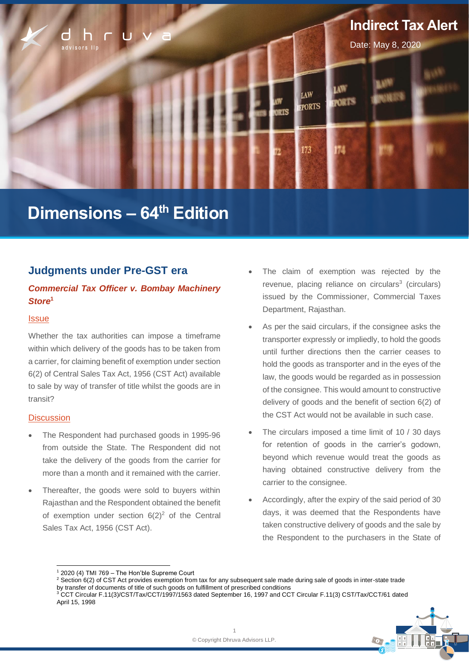

# **Dimensions – 64 th Edition**

# **Judgments under Pre-GST era**

# *Commercial Tax Officer v. Bombay Machinery Store***<sup>1</sup>**

#### **Issue**

Whether the tax authorities can impose a timeframe within which delivery of the goods has to be taken from a carrier, for claiming benefit of exemption under section 6(2) of Central Sales Tax Act, 1956 (CST Act) available to sale by way of transfer of title whilst the goods are in transit?

#### **Discussion**

- The Respondent had purchased goods in 1995-96 from outside the State. The Respondent did not take the delivery of the goods from the carrier for more than a month and it remained with the carrier.
- Thereafter, the goods were sold to buvers within Rajasthan and the Respondent obtained the benefit of exemption under section  $6(2)^2$  of the Central Sales Tax Act, 1956 (CST Act).
- The claim of exemption was rejected by the revenue, placing reliance on circulars<sup>3</sup> (circulars) issued by the Commissioner, Commercial Taxes Department, Rajasthan.
- As per the said circulars, if the consignee asks the transporter expressly or impliedly, to hold the goods until further directions then the carrier ceases to hold the goods as transporter and in the eyes of the law, the goods would be regarded as in possession of the consignee. This would amount to constructive delivery of goods and the benefit of section 6(2) of the CST Act would not be available in such case.
- The circulars imposed a time limit of 10 / 30 days for retention of goods in the carrier's godown, beyond which revenue would treat the goods as having obtained constructive delivery from the carrier to the consignee.
- Accordingly, after the expiry of the said period of 30 days, it was deemed that the Respondents have taken constructive delivery of goods and the sale by the Respondent to the purchasers in the State of

<sup>3</sup> CCT Circular F.11(3)/CST/Tax/CCT/1997/1563 dated September 16, 1997 and CCT Circular F.11(3) CST/Tax/CCT/61 dated April 15, 1998



 $1$  2020 (4) TMI 769 – The Hon'ble Supreme Court

<sup>&</sup>lt;sup>2</sup> Section 6(2) of CST Act provides exemption from tax for any subsequent sale made during sale of goods in inter-state trade by transfer of documents of title of such goods on fulfillment of prescribed conditions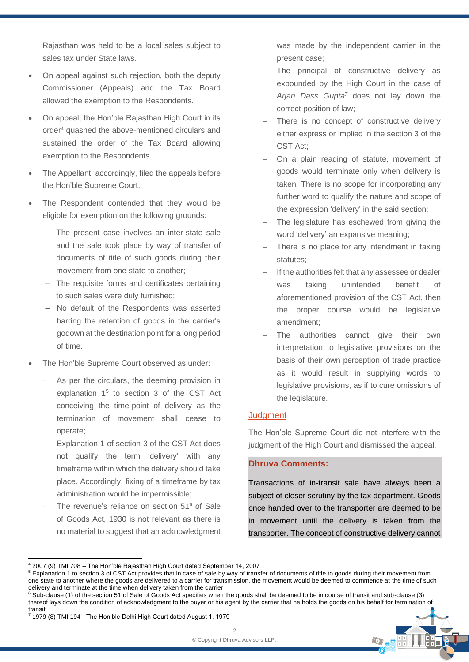Rajasthan was held to be a local sales subject to sales tax under State laws.

- On appeal against such rejection, both the deputy Commissioner (Appeals) and the Tax Board allowed the exemption to the Respondents.
- On appeal, the Hon'ble Rajasthan High Court in its order<sup>4</sup> quashed the above-mentioned circulars and sustained the order of the Tax Board allowing exemption to the Respondents.
- The Appellant, accordingly, filed the appeals before the Hon'ble Supreme Court.
- The Respondent contended that they would be eligible for exemption on the following grounds:
	- ‒ The present case involves an inter-state sale and the sale took place by way of transfer of documents of title of such goods during their movement from one state to another;
	- The requisite forms and certificates pertaining to such sales were duly furnished;
	- ‒ No default of the Respondents was asserted barring the retention of goods in the carrier's godown at the destination point for a long period of time.
- The Hon'ble Supreme Court observed as under:
	- As per the circulars, the deeming provision in explanation  $1<sup>5</sup>$  to section 3 of the CST Act conceiving the time-point of delivery as the termination of movement shall cease to operate;
	- Explanation 1 of section 3 of the CST Act does not qualify the term 'delivery' with any timeframe within which the delivery should take place. Accordingly, fixing of a timeframe by tax administration would be impermissible;
	- The revenue's reliance on section 51<sup>6</sup> of Sale of Goods Act, 1930 is not relevant as there is no material to suggest that an acknowledgment

was made by the independent carrier in the present case;

- The principal of constructive delivery as expounded by the High Court in the case of *Arjan Dass Gupta<sup>7</sup>* does not lay down the correct position of law;
- There is no concept of constructive delivery either express or implied in the section 3 of the CST Act;
- On a plain reading of statute, movement of goods would terminate only when delivery is taken. There is no scope for incorporating any further word to qualify the nature and scope of the expression 'delivery' in the said section;
- The legislature has eschewed from giving the word 'delivery' an expansive meaning;
- There is no place for any intendment in taxing statutes;
- If the authorities felt that any assessee or dealer was taking unintended benefit of aforementioned provision of the CST Act, then the proper course would be legislative amendment;
- The authorities cannot give their own interpretation to legislative provisions on the basis of their own perception of trade practice as it would result in supplying words to legislative provisions, as if to cure omissions of the legislature.

#### **Judgment**

The Hon'ble Supreme Court did not interfere with the judgment of the High Court and dismissed the appeal.

# **Dhruva Comments:**

Transactions of in-transit sale have always been a subject of closer scrutiny by the tax department. Goods once handed over to the transporter are deemed to be in movement until the delivery is taken from the transporter. The concept of constructive delivery cannot

<sup>6</sup> Sub-clause (1) of the section 51 of Sale of Goods Act specifies when the goods shall be deemed to be in course of transit and sub-clause (3) thereof lays down the condition of acknowledgment to the buyer or his agent by the carrier that he holds the goods on his behalf for termination of transit



<sup>4</sup> 2007 (9) TMI 708 – The Hon'ble Rajasthan High Court dated September 14, 2007

<sup>5</sup> Explanation 1 to section 3 of CST Act provides that in case of sale by way of transfer of documents of title to goods during their movement from one state to another where the goods are delivered to a carrier for transmission, the movement would be deemed to commence at the time of such delivery and terminate at the time when delivery taken from the carrier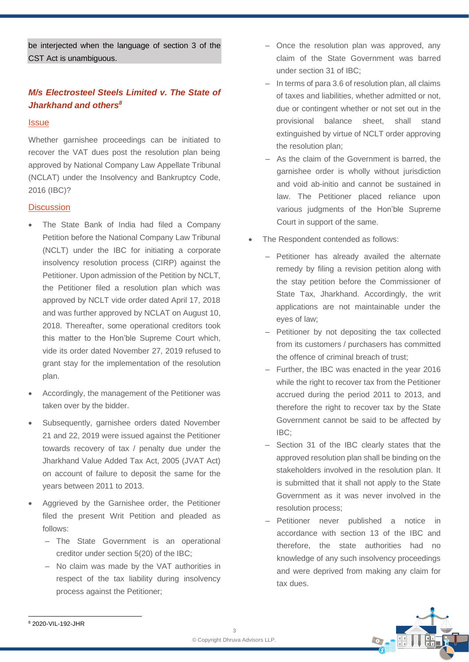be interjected when the language of section 3 of the CST Act is unambiguous.

# *M/s Electrosteel Steels Limited v. The State of Jharkhand and others<sup>8</sup>*

#### **Issue**

Whether garnishee proceedings can be initiated to recover the VAT dues post the resolution plan being approved by National Company Law Appellate Tribunal (NCLAT) under the Insolvency and Bankruptcy Code, 2016 (IBC)?

#### **Discussion**

- The State Bank of India had filed a Company Petition before the National Company Law Tribunal (NCLT) under the IBC for initiating a corporate insolvency resolution process (CIRP) against the Petitioner. Upon admission of the Petition by NCLT, the Petitioner filed a resolution plan which was approved by NCLT vide order dated April 17, 2018 and was further approved by NCLAT on August 10, 2018. Thereafter, some operational creditors took this matter to the Hon'ble Supreme Court which, vide its order dated November 27, 2019 refused to grant stay for the implementation of the resolution plan.
- Accordingly, the management of the Petitioner was taken over by the bidder.
- Subsequently, garnishee orders dated November 21 and 22, 2019 were issued against the Petitioner towards recovery of tax / penalty due under the Jharkhand Value Added Tax Act, 2005 (JVAT Act) on account of failure to deposit the same for the years between 2011 to 2013.
- Aggrieved by the Garnishee order, the Petitioner filed the present Writ Petition and pleaded as follows:
	- ‒ The State Government is an operational creditor under section 5(20) of the IBC;
	- ‒ No claim was made by the VAT authorities in respect of the tax liability during insolvency process against the Petitioner;
- Once the resolution plan was approved, any claim of the State Government was barred under section 31 of IBC;
- In terms of para 3.6 of resolution plan, all claims of taxes and liabilities, whether admitted or not, due or contingent whether or not set out in the provisional balance sheet, shall stand extinguished by virtue of NCLT order approving the resolution plan;
- ‒ As the claim of the Government is barred, the garnishee order is wholly without jurisdiction and void ab-initio and cannot be sustained in law. The Petitioner placed reliance upon various judgments of the Hon'ble Supreme Court in support of the same.
- The Respondent contended as follows:
	- ‒ Petitioner has already availed the alternate remedy by filing a revision petition along with the stay petition before the Commissioner of State Tax, Jharkhand. Accordingly, the writ applications are not maintainable under the eyes of law;
	- Petitioner by not depositing the tax collected from its customers / purchasers has committed the offence of criminal breach of trust;
	- ‒ Further, the IBC was enacted in the year 2016 while the right to recover tax from the Petitioner accrued during the period 2011 to 2013, and therefore the right to recover tax by the State Government cannot be said to be affected by IBC;
	- ‒ Section 31 of the IBC clearly states that the approved resolution plan shall be binding on the stakeholders involved in the resolution plan. It is submitted that it shall not apply to the State Government as it was never involved in the resolution process;
	- ‒ Petitioner never published a notice in accordance with section 13 of the IBC and therefore, the state authorities had no knowledge of any such insolvency proceedings and were deprived from making any claim for tax dues.



<sup>8</sup> 2020-VIL-192-JHR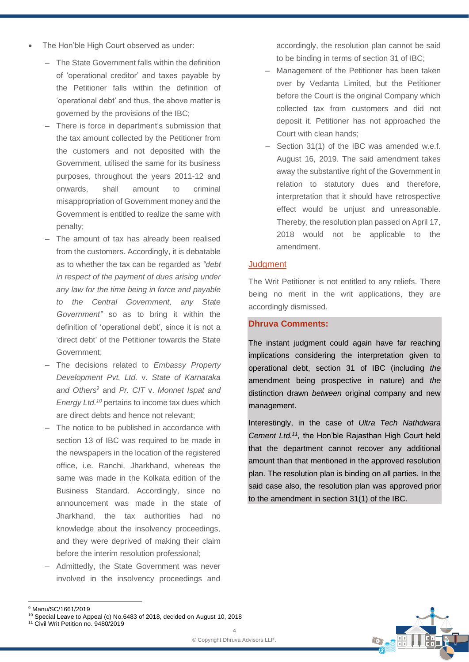- The Hon'ble High Court observed as under:
	- ‒ The State Government falls within the definition of 'operational creditor' and taxes payable by the Petitioner falls within the definition of 'operational debt' and thus, the above matter is governed by the provisions of the IBC;
	- ‒ There is force in department's submission that the tax amount collected by the Petitioner from the customers and not deposited with the Government, utilised the same for its business purposes, throughout the years 2011-12 and onwards, shall amount to criminal misappropriation of Government money and the Government is entitled to realize the same with penalty;
	- The amount of tax has already been realised from the customers. Accordingly, it is debatable as to whether the tax can be regarded as *"debt in respect of the payment of dues arising under any law for the time being in force and payable to the Central Government, any State Government"* so as to bring it within the definition of 'operational debt', since it is not a 'direct debt' of the Petitioner towards the State Government;
	- ‒ The decisions related to *Embassy Property Development Pvt. Ltd.* v. *State of Karnataka and Others<sup>9</sup>* and *Pr. CIT* v. *Monnet Ispat and*  Energy Ltd.<sup>10</sup> pertains to income tax dues which are direct debts and hence not relevant;
	- ‒ The notice to be published in accordance with section 13 of IBC was required to be made in the newspapers in the location of the registered office, i.e. Ranchi, Jharkhand, whereas the same was made in the Kolkata edition of the Business Standard. Accordingly, since no announcement was made in the state of Jharkhand, the tax authorities had no knowledge about the insolvency proceedings, and they were deprived of making their claim before the interim resolution professional;
	- ‒ Admittedly, the State Government was never involved in the insolvency proceedings and

accordingly, the resolution plan cannot be said to be binding in terms of section 31 of IBC;

- ‒ Management of the Petitioner has been taken over by Vedanta Limited, but the Petitioner before the Court is the original Company which collected tax from customers and did not deposit it. Petitioner has not approached the Court with clean hands;
- Section 31(1) of the IBC was amended w.e.f. August 16, 2019. The said amendment takes away the substantive right of the Government in relation to statutory dues and therefore, interpretation that it should have retrospective effect would be unjust and unreasonable. Thereby, the resolution plan passed on April 17, 2018 would not be applicable to the amendment.

#### **Judgment**

The Writ Petitioner is not entitled to any reliefs. There being no merit in the writ applications, they are accordingly dismissed.

# **Dhruva Comments:**

The instant judgment could again have far reaching implications considering the interpretation given to operational debt, section 31 of IBC (including *the*  amendment being prospective in nature) and *the*  distinction drawn *between* original company and new management.

Interestingly, in the case of *Ultra Tech Nathdwara Cement Ltd.<sup>11</sup> ,* the Hon'ble Rajasthan High Court held that the department cannot recover any additional amount than that mentioned in the approved resolution plan. The resolution plan is binding on all parties. In the said case also, the resolution plan was approved prior to the amendment in section 31(1) of the IBC.



<sup>9</sup> Manu/SC/1661/2019

<sup>&</sup>lt;sup>10</sup> Special Leave to Appeal (c) No.6483 of 2018, decided on August 10, 2018 <sup>11</sup> Civil Writ Petition no. 9480/2019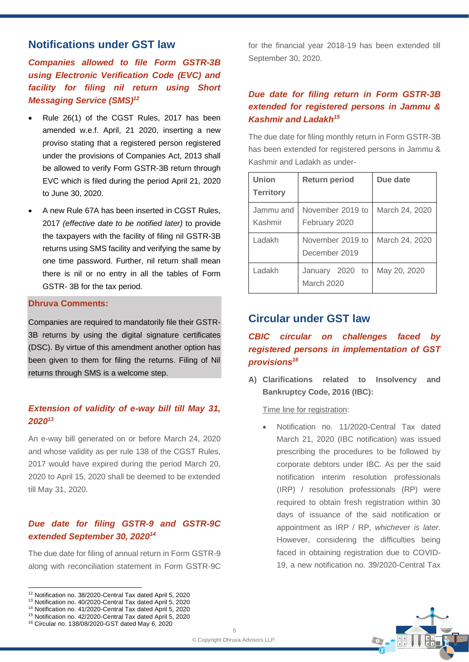# **Notifications under GST law**

*Companies allowed to file Form GSTR-3B using Electronic Verification Code (EVC) and facility for filing nil return using Short Messaging Service (SMS)<sup>12</sup>*

- Rule 26(1) of the CGST Rules, 2017 has been amended w.e.f. April, 21 2020, inserting a new proviso stating that a registered person registered under the provisions of Companies Act, 2013 shall be allowed to verify Form GSTR-3B return through EVC which is filed during the period April 21, 2020 to June 30, 2020.
- A new Rule 67A has been inserted in CGST Rules, 2017 *(effective date to be notified later)* to provide the taxpayers with the facility of filing nil GSTR-3B returns using SMS facility and verifying the same by one time password. Further, nil return shall mean there is nil or no entry in all the tables of Form GSTR- 3B for the tax period.

#### **Dhruva Comments:**

Companies are required to mandatorily file their GSTR-3B returns by using the digital signature certificates (DSC). By virtue of this amendment another option has been given to them for filing the returns. Filing of Nil returns through SMS is a welcome step.

# *Extension of validity of e-way bill till May 31, 2020<sup>13</sup>*

An e-way bill generated on or before March 24, 2020 and whose validity as per rule 138 of the CGST Rules, 2017 would have expired during the period March 20, 2020 to April 15, 2020 shall be deemed to be extended till May 31, 2020.

# *Due date for filing GSTR-9 and GSTR-9C extended September 30, 2020<sup>14</sup>*

The due date for filing of annual return in Form GSTR-9 along with reconciliation statement in Form GSTR-9C

<sup>12</sup> Notification no. 38/2020-Central Tax dated April 5, 2020



<sup>14</sup> Notification no. 41/2020-Central Tax dated April 5, 2020

<sup>16</sup> Circular no. 138/08/2020-GST dated May 6, 2020

for the financial year 2018-19 has been extended till September 30, 2020.

# *Due date for filing return in Form GSTR-3B extended for registered persons in Jammu & Kashmir and Ladakh<sup>15</sup>*

The due date for filing monthly return in Form GSTR-3B has been extended for registered persons in Jammu & Kashmir and Ladakh as under-

| Union<br><b>Territory</b> | <b>Return period</b>              | Due date       |
|---------------------------|-----------------------------------|----------------|
| Jammu and<br>Kashmir      | November 2019 to<br>February 2020 | March 24, 2020 |
| Ladakh                    | November 2019 to<br>December 2019 | March 24, 2020 |
| Ladakh                    | January 2020<br>to<br>March 2020  | May 20, 2020   |

# **Circular under GST law**

# *CBIC circular on challenges faced by registered persons in implementation of GST provisions<sup>16</sup>*

**A) Clarifications related to Insolvency and Bankruptcy Code, 2016 (IBC):**

Time line for registration:

• Notification no. 11/2020-Central Tax dated March 21, 2020 (IBC notification) was issued prescribing the procedures to be followed by corporate debtors under IBC. As per the said notification interim resolution professionals (IRP) / resolution professionals (RP) were required to obtain fresh registration within 30 days of issuance of the said notification or appointment as IRP / RP, *whichever is later*. However, considering the difficulties being faced in obtaining registration due to COVID-19, a new notification no. 39/2020-Central Tax



<sup>15</sup> Notification no. 42/2020-Central Tax dated April 5, 2020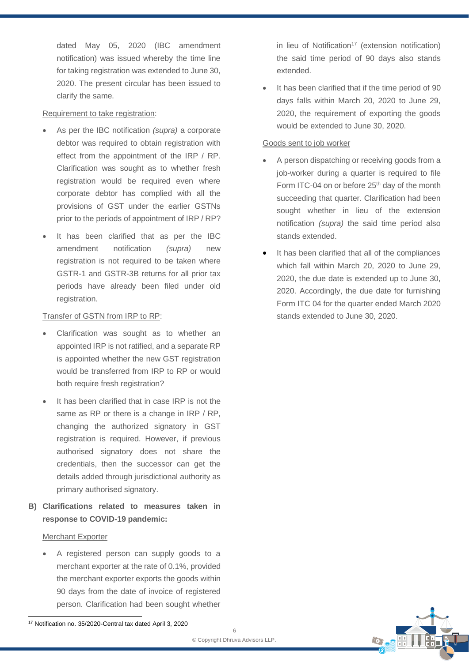dated May 05, 2020 (IBC amendment notification) was issued whereby the time line for taking registration was extended to June 30, 2020. The present circular has been issued to clarify the same.

#### Requirement to take registration:

- As per the IBC notification *(supra)* a corporate debtor was required to obtain registration with effect from the appointment of the IRP / RP. Clarification was sought as to whether fresh registration would be required even where corporate debtor has complied with all the provisions of GST under the earlier GSTNs prior to the periods of appointment of IRP / RP?
- It has been clarified that as per the IBC amendment notification *(supra)* new registration is not required to be taken where GSTR-1 and GSTR-3B returns for all prior tax periods have already been filed under old registration.

# Transfer of GSTN from IRP to RP:

- Clarification was sought as to whether an appointed IRP is not ratified, and a separate RP is appointed whether the new GST registration would be transferred from IRP to RP or would both require fresh registration?
- It has been clarified that in case IRP is not the same as RP or there is a change in IRP / RP. changing the authorized signatory in GST registration is required. However, if previous authorised signatory does not share the credentials, then the successor can get the details added through jurisdictional authority as primary authorised signatory.
- **B) Clarifications related to measures taken in response to COVID-19 pandemic:**

## Merchant Exporter

• A registered person can supply goods to a merchant exporter at the rate of 0.1%, provided the merchant exporter exports the goods within 90 days from the date of invoice of registered person. Clarification had been sought whether

in lieu of Notification<sup>17</sup> (extension notification) the said time period of 90 days also stands extended.

It has been clarified that if the time period of 90 days falls within March 20, 2020 to June 29, 2020, the requirement of exporting the goods would be extended to June 30, 2020.

### Goods sent to job worker

- A person dispatching or receiving goods from a job-worker during a quarter is required to file Form ITC-04 on or before 25<sup>th</sup> day of the month succeeding that quarter. Clarification had been sought whether in lieu of the extension notification *(supra)* the said time period also stands extended.
- It has been clarified that all of the compliances which fall within March 20, 2020 to June 29, 2020, the due date is extended up to June 30, 2020. Accordingly, the due date for furnishing Form ITC 04 for the quarter ended March 2020 stands extended to June 30, 2020.



<sup>17</sup> Notification no. 35/2020-Central tax dated April 3, 2020